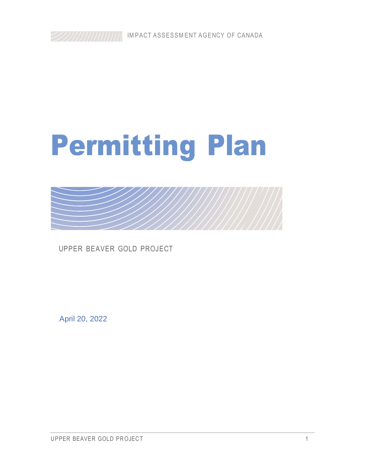# Permitting Plan



UPPER BEAVER GOLD PROJECT

April 20, 2022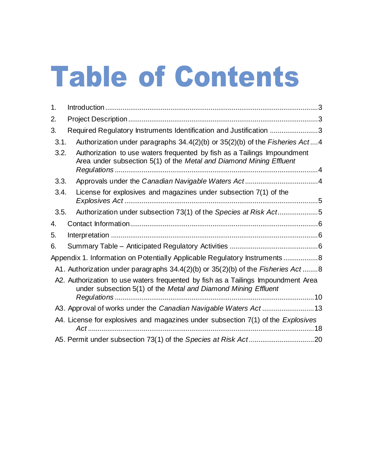# Table of Contents

| 1.   |                                                                                                                                                     |
|------|-----------------------------------------------------------------------------------------------------------------------------------------------------|
| 2.   |                                                                                                                                                     |
| 3.   | Required Regulatory Instruments Identification and Justification 3                                                                                  |
| 3.1. | Authorization under paragraphs 34.4(2)(b) or 35(2)(b) of the Fisheries Act4                                                                         |
| 3.2. | Authorization to use waters frequented by fish as a Tailings Impoundment<br>Area under subsection 5(1) of the Metal and Diamond Mining Effluent     |
| 3.3. |                                                                                                                                                     |
| 3.4. | License for explosives and magazines under subsection 7(1) of the                                                                                   |
| 3.5. | Authorization under subsection 73(1) of the Species at Risk Act5                                                                                    |
| 4.   |                                                                                                                                                     |
| 5.   |                                                                                                                                                     |
| 6.   |                                                                                                                                                     |
|      | Appendix 1. Information on Potentially Applicable Regulatory Instruments 8                                                                          |
|      | A1. Authorization under paragraphs 34.4(2)(b) or 35(2)(b) of the Fisheries Act8                                                                     |
|      | A2. Authorization to use waters frequented by fish as a Tailings Impoundment Area<br>under subsection 5(1) of the Metal and Diamond Mining Effluent |
|      |                                                                                                                                                     |
|      | A3. Approval of works under the Canadian Navigable Waters Act13                                                                                     |
|      | A4. License for explosives and magazines under subsection 7(1) of the Explosives                                                                    |
|      |                                                                                                                                                     |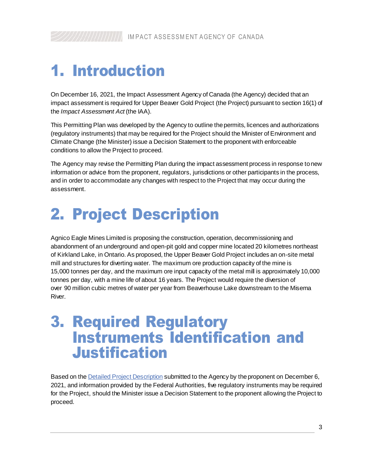# <span id="page-2-0"></span>1. Introduction

On December 16, 2021, the Impact Assessment Agency of Canada (the Agency) decided that an impact assessment is required for Upper Beaver Gold Project (the Project) pursuant to section 16(1) of the *Impact Assessment Act* (the IAA).

This Permitting Plan was developed by the Agency to outline the permits, licences and authorizations (regulatory instruments) that may be required for the Project should the Minister of Environment and Climate Change (the Minister) issue a Decision Statement to the proponent with enforceable conditions to allow the Project to proceed.

The Agency may revise the Permitting Plan during the impact assessment process in response to new information or advice from the proponent, regulators, jurisdictions or other participants in the process, and in order to accommodate any changes with respect to the Project that may occur during the assessment.

# <span id="page-2-1"></span>2. Project Description

Agnico Eagle Mines Limited is proposing the construction, operation, decommissioning and abandonment of an underground and open-pit gold and copper mine located 20 kilometres northeast of Kirkland Lake, in Ontario. As proposed, the Upper Beaver Gold Project includes an on-site metal mill and structures for diverting water. The maximum ore production capacity of the mine is 15,000 tonnes per day, and the maximum ore input capacity of the metal mill is approximately 10,000 tonnes per day, with a mine life of about 16 years. The Project would require the diversion of over 90 million cubic metres of water per year from Beaverhouse Lake downstream to the Misema River.

# <span id="page-2-2"></span>3. Required Regulatory Instruments Identification and **Justification**

Based on the **Detailed Project Description** submitted to the Agency by the proponent on December 6, 2021, and information provided by the Federal Authorities, five regulatory instruments may be required for the Project, should the Minister issue a Decision Statement to the proponent allowing the Project to proceed.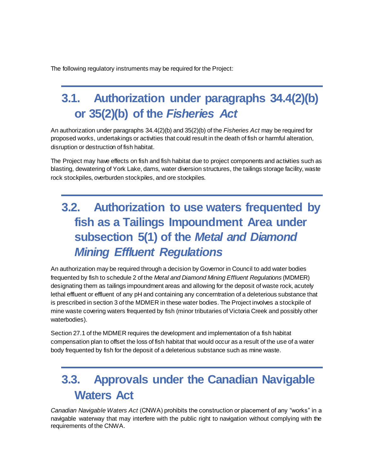The following regulatory instruments may be required for the Project:

# <span id="page-3-0"></span>**3.1. Authorization under paragraphs 34.4(2)(b) or 35(2)(b) of the** *Fisheries Act*

An authorization under paragraphs 34.4(2)(b) and 35(2)(b) of the *Fisheries Act* may be required for proposed works, undertakings or activities that could result in the death of fish or harmful alteration, disruption or destruction of fish habitat.

The Project may have effects on fish and fish habitat due to project components and activities such as blasting, dewatering of York Lake, dams, water diversion structures, the tailings storage facility, waste rock stockpiles, overburden stockpiles, and ore stockpiles.

# <span id="page-3-1"></span>**3.2. Authorization to use waters frequented by fish as a Tailings Impoundment Area under subsection 5(1) of the** *Metal and Diamond Mining Effluent Regulations*

An authorization may be required through a decision by Governor in Council to add water bodies frequented by fish to schedule 2 of the *Metal and Diamond Mining Effluent Regulations* (MDMER) designating them as tailings impoundment areas and allowing for the deposit of waste rock, acutely lethal effluent or effluent of any pH and containing any concerntration of a deleterious substance that is prescribed in section 3 of the MDMER in these water bodies. The Project involves a stockpile of mine waste covering waters frequented by fish (minor tributaries of Victoria Creek and possibly other waterbodies).

Section 27.1 of the MDMER requires the development and implementation of a fish habitat compensation plan to offset the loss of fish habitat that would occur as a result of the use of a water body frequented by fish for the deposit of a deleterious substance such as mine waste.

# <span id="page-3-2"></span>**3.3. Approvals under the Canadian Navigable Waters Act**

*Canadian Navigable Waters Act* (CNWA) prohibits the construction or placement of any "works" in a navigable waterway that may interfere with the public right to navigation without complying with the requirements of the CNWA.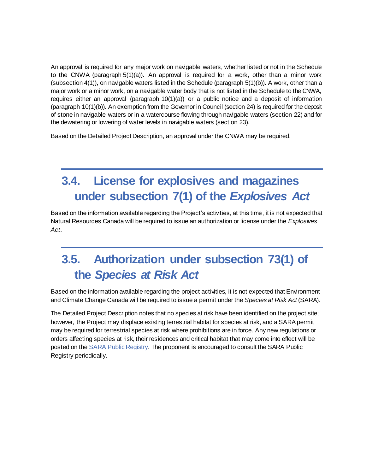An approval is required for any major work on navigable waters, whether listed or not in the Schedule to the CNWA (paragraph 5(1)(a)). An approval is required for a work, other than a minor work (subsection 4(1)), on navigable waters listed in the Schedule (paragraph 5(1)(b)). A work, other than a major work or a minor work, on a navigable water body that is not listed in the Schedule to the CNWA, requires either an approval (paragraph 10(1)(a)) or a public notice and a deposit of information (paragraph 10(1)(b)). An exemption from the Governor in Council (section 24) is required for the deposit of stone in navigable waters or in a watercourse flowing through navigable waters (section 22) and for the dewatering or lowering of water levels in navigable waters (section 23).

Based on the Detailed Project Description, an approval under the CNWA may be required.

# <span id="page-4-0"></span>**3.4. License for explosives and magazines under subsection 7(1) of the** *Explosives Act*

Based on the information available regarding the Project's activities, at this time, it is not expected that Natural Resources Canada will be required to issue an authorization or license under the *Explosives Act*.

# <span id="page-4-1"></span>**3.5. Authorization under subsection 73(1) of the** *Species at Risk Act*

Based on the information available regarding the project activities, it is not expected that Environment and Climate Change Canada will be required to issue a permit under the *Species at Risk Act* (SARA).

The Detailed Project Description notes that no species at risk have been identified on the project site; however, the Project may displace existing terrestrial habitat for species at risk, and a SARA permit may be required for terrestrial species at risk where prohibitions are in force. Any new regulations or orders affecting species at risk, their residences and critical habitat that may come into effect will be posted on th[e SARA Public Registry](https://www.canada.ca/en/environment-climate-change/services/species-risk-public-registry.html). The proponent is encouraged to consult the SARA Public Registry periodically.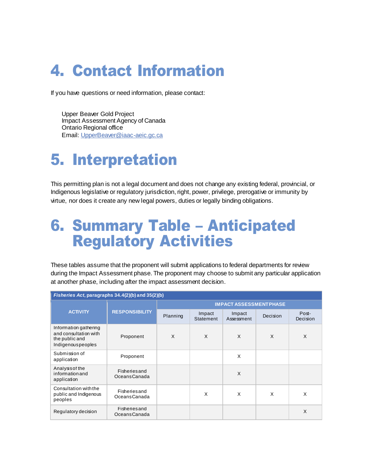# <span id="page-5-0"></span>4. Contact Information

If you have questions or need information, please contact:

Upper Beaver Gold Project Impact Assessment Agency of Canada Ontario Regional office Email[: UpperBeaver@iaac-aeic.gc.ca](mailto:UpperBeaver@iaac-aeic.gc.ca)

# <span id="page-5-1"></span>5. Interpretation

This permitting plan is not a legal document and does not change any existing federal, provincial, or Indigenous legislative or regulatory jurisdiction, right, power, privilege, prerogative or immunity by virtue, nor does it create any new legal powers, duties or legally binding obligations.

# <span id="page-5-2"></span>6. Summary Table – Anticipated Regulatory Activities

These tables assume that the proponent will submit applications to federal departments for review during the Impact Assessment phase. The proponent may choose to submit any particular application at another phase, including after the impact assessment decision.

| Fisheries Act, paragraphs 34.4(2)(b) and 35(2)(b)                                     |                               |                               |                     |                      |          |                   |
|---------------------------------------------------------------------------------------|-------------------------------|-------------------------------|---------------------|----------------------|----------|-------------------|
|                                                                                       | <b>RESPONSIBILITY</b>         | <b>IMPACT ASSESSMENTPHASE</b> |                     |                      |          |                   |
| <b>ACTIVITY</b>                                                                       |                               | Planning                      | Impact<br>Statement | Impact<br>Assessment | Decision | Post-<br>Decision |
| Information gathering<br>and consultation with<br>the public and<br>Indigenouspeoples | Proponent                     | X                             | X                   | X                    | X        | X                 |
| Submission of<br>application                                                          | Proponent                     |                               |                     | X                    |          |                   |
| Analysis of the<br>information and<br>application                                     | Fisheriesand<br>Oceans Canada |                               |                     | X                    |          |                   |
| Consultation with the<br>public and Indigenous<br>peoples                             | Fisheriesand<br>Oceans Canada |                               | X                   | X                    | X        | X                 |
| Regulatory decision                                                                   | Fisheriesand<br>Oceans Canada |                               |                     |                      |          | X                 |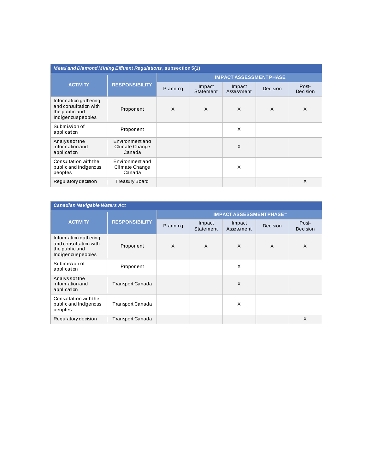| <b>Metal and Diamond Mining Effluent Regulations, subsection 5(1)</b>                 |                                             |                               |                     |                      |          |                   |
|---------------------------------------------------------------------------------------|---------------------------------------------|-------------------------------|---------------------|----------------------|----------|-------------------|
|                                                                                       | <b>RESPONSIBILITY</b>                       | <b>IMPACT ASSESSMENTPHASE</b> |                     |                      |          |                   |
| <b>ACTIVITY</b>                                                                       |                                             | Planning                      | Impact<br>Statement | Impact<br>Assessment | Decision | Post-<br>Decision |
| Information gathering<br>and consultation with<br>the public and<br>Indigenouspeoples | Proponent                                   | X                             | X                   | X                    | X        | X                 |
| Submission of<br>application                                                          | Proponent                                   |                               |                     | X                    |          |                   |
| Analysis of the<br>information and<br>application                                     | Environment and<br>Climate Change<br>Canada |                               |                     | X                    |          |                   |
| Consultation with the<br>public and Indigenous<br>peoples                             | Environment and<br>Climate Change<br>Canada |                               |                     | X                    |          |                   |
| Regulatory decision                                                                   | Treasury Board                              |                               |                     |                      |          | X                 |

| <b>Canadian Navigable Waters Act</b>                                                  |                         |                                |                     |                      |          |                   |
|---------------------------------------------------------------------------------------|-------------------------|--------------------------------|---------------------|----------------------|----------|-------------------|
|                                                                                       | <b>RESPONSIBILITY</b>   | <b>IMPACT ASSESSMENTPHASE=</b> |                     |                      |          |                   |
| <b>ACTIVITY</b>                                                                       |                         | Planning                       | Impact<br>Statement | Impact<br>Assessment | Decision | Post-<br>Decision |
| Information gathering<br>and consultation with<br>the public and<br>Indigenouspeoples | Proponent               | X                              | X                   | X                    | X        | X                 |
| Submission of<br>application                                                          | Proponent               |                                |                     | X                    |          |                   |
| Analysis of the<br>information and<br>application                                     | <b>Transport Canada</b> |                                |                     | X                    |          |                   |
| Consultation with the<br>public and Indigenous<br>peoples                             | Transport Canada        |                                |                     | x                    |          |                   |
| Regulatory decision                                                                   | <b>Transport Canada</b> |                                |                     |                      |          | X                 |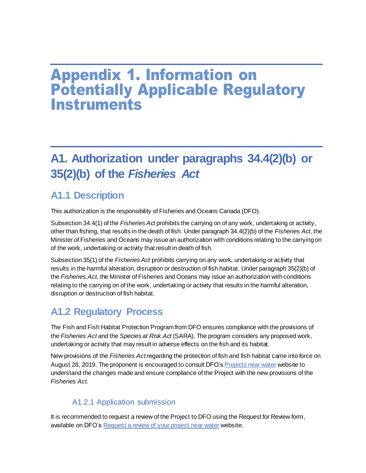# <span id="page-7-0"></span>Appendix 1. Information on Potentially Applicable Regulatory **Instruments**

# <span id="page-7-1"></span>**A1. Authorization under paragraphs 34.4(2)(b) or 35(2)(b) of the** *Fisheries Act*

# **A1.1 Description**

This authorization is the responsibility of Fisheries and Oceans Canada (DFO).

Subsection 34.4(1) of the *Fisheries Act* prohibits the carrying on of any work, undertaking or activity, other than fishing, that results in the death of fish. Under paragraph 34.4(2)(b) of the *Fisheries Act*, the Minister of Fisheries and Oceans may issue an authorization with conditions relating to the carrying on of the work, undertaking or activity that result in death of fish.

Subsection 35(1) of the *Fisheries Act* prohibits carrying on any work, undertaking or activity that results in the harmful alteration, disruption or destruction of fish habitat. Under paragraph 35(2)(b) of the *Fisheries Act*, the Minister of Fisheries and Oceans may issue an authorization with conditions relating to the carrying on of the work, undertaking or activity that results in the harmful alteration, disruption or destruction of fish habitat.

# **A1.2 Regulatory Process**

The Fish and Fish Habitat Protection Program from DFO ensures compliance with the provisions of the *Fisheries Act* and the *Species at Risk Act* (SARA). The program considers any proposed work, undertaking or activity that may result in adverse effects on the fish and its habitat.

New provisions of the *Fisheries Act* regarding the protection of fish and fish habitat came into force on August 28, 2019. The proponent is encouraged to consult DFO's [Projects near water](http://www.dfo-mpo.gc.ca/pnw-ppe/index-eng.html) website to understand the changes made and ensure compliance of the Project with the new provisions of the *Fisheries Act*.

#### A1.2.1 Application submission

It is recommended to request a review of the Project to DFO using the Request for Review form, available on DFO'[s Request a review of your project](https://www.dfo-mpo.gc.ca/pnw-ppe/reviews-revues/request-review-demande-d-examen-004-eng.html) near water website.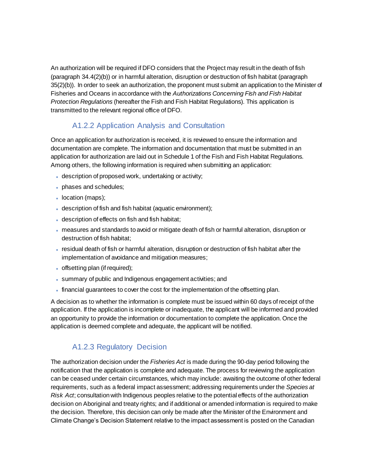An authorization will be required if DFO considers that the Project may result in the death of fish (paragraph 34.4(2)(b)) or in harmful alteration, disruption or destruction of fish habitat (paragraph 35(2)(b)). In order to seek an authorization, the proponent must submit an application to the Minister of Fisheries and Oceans in accordance with the *Authorizations Concerning Fish and Fish Habitat Protection Regulations* (hereafter the Fish and Fish Habitat Regulations). This application is transmitted to the relevant regional office of DFO.

#### A1.2.2 Application Analysis and Consultation

Once an application for authorization is received, it is reviewed to ensure the information and documentation are complete. The information and documentation that must be submitted in an application for authorization are laid out in Schedule 1 of the Fish and Fish Habitat Regulations. Among others, the following information is required when submitting an application:

- description of proposed work, undertaking or activity;
- phases and schedules;
- location (maps);
- description of fish and fish habitat (aquatic environment);
- description of effects on fish and fish habitat;
- measures and standards to avoid or mitigate death of fish or harmful alteration, disruption or destruction of fish habitat;
- residual death of fish or harmful alteration, disruption or destruction of fish habitat after the implementation of avoidance and mitigation measures;
- offsetting plan (if required);
- summary of public and Indigenous engagement activities; and
- financial guarantees to cover the cost for the implementation of the offsetting plan.

A decision as to whether the information is complete must be issued within 60 days of receipt of the application. If the application is incomplete or inadequate, the applicant will be informed and provided an opportunity to provide the information or documentation to complete the application. Once the application is deemed complete and adequate, the applicant will be notified.

#### A1.2.3 Regulatory Decision

The authorization decision under the *Fisheries Act* is made during the 90-day period following the notification that the application is complete and adequate. The process for reviewing the application can be ceased under certain circumstances, which may include: awaiting the outcome of other federal requirements, such as a federal impact assessment; addressing requirements under the *Species at Risk Act*; consultation with Indigenous peoples relative to the potential effects of the authorization decision on Aboriginal and treaty rights; and if additional or amended information is required to make the decision. Therefore, this decision can only be made after the Minister of the Environment and Climate Change's Decision Statement relative to the impact assessment is posted on the Canadian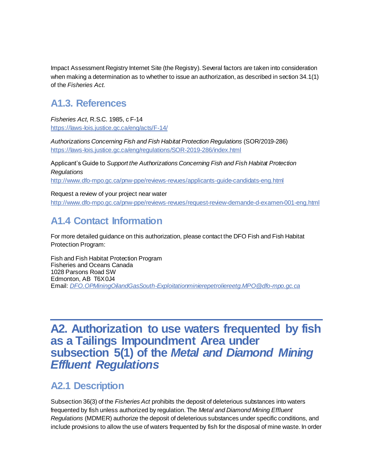Impact Assessment Registry Internet Site (the Registry). Several factors are taken into consideration when making a determination as to whether to issue an authorization, as described in section 34.1(1) of the *Fisheries Act*.

# **A1.3. References**

*Fisheries Act*, R.S.C. 1985, c F-14 <https://laws-lois.justice.gc.ca/eng/acts/F-14/>

*Authorizations Concerning Fish and Fish Habitat Protection Regulations* (SOR/2019-286) <https://laws-lois.justice.gc.ca/eng/regulations/SOR-2019-286/index.html>

Applicant's Guide to *Support the Authorizations Concerning Fish and Fish Habitat Protection Regulations*

<http://www.dfo-mpo.gc.ca/pnw-ppe/reviews-revues/applicants-guide-candidats-eng.html>

Request a review of your project near water <http://www.dfo-mpo.gc.ca/pnw-ppe/reviews-revues/request-review-demande-d-examen-001-eng.html>

# **A1.4 Contact Information**

For more detailed guidance on this authorization, please contact the DFO Fish and Fish Habitat Protection Program:

Fish and Fish Habitat Protection Program Fisheries and Oceans Canada 1028 Parsons Road SW Edmonton, AB T6X 0J4 Email: *[DFO.OPMiningOilandGasSouth-Exploitationminierepetroliereetg.MPO@dfo-mpo.gc.ca](mailto:DFO.OPMiningOilandGasSouth-Exploitationminierepetroliereetg.MPO@dfo-mpo.gc.ca)*

# <span id="page-9-0"></span>**A2. Authorization to use waters frequented by fish as a Tailings Impoundment Area under subsection 5(1) of the** *Metal and Diamond Mining Effluent Regulations*

# **A2.1 Description**

Subsection 36(3) of the *Fisheries Act* prohibits the deposit of deleterious substances into waters frequented by fish unless authorized by regulation. The *Metal and Diamond Mining Effluent Regulations* (MDMER) authorize the deposit of deleterious substances under specific conditions, and include provisions to allow the use of waters frequented by fish for the disposal of mine waste. In order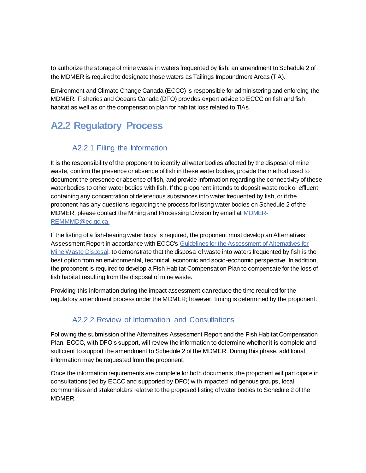to authorize the storage of mine waste in waters frequented by fish, an amendment to Schedule 2 of the MDMER is required to designate those waters as Tailings Impoundment Areas (TIA).

Environment and Climate Change Canada (ECCC) is responsible for administering and enforcing the MDMER. Fisheries and Oceans Canada (DFO) provides expert advice to ECCC on fish and fish habitat as well as on the compensation plan for habitat loss related to TIAs.

# **A2.2 Regulatory Process**

#### A2.2.1 Filing the Information

It is the responsibility of the proponent to identify all water bodies affected by the disposal of mine waste, confirm the presence or absence of fish in these water bodies, provide the method used to document the presence or absence of fish, and provide information regarding the connectivity of these water bodies to other water bodies with fish. If the proponent intends to deposit waste rock or effluent containing any concentration of deleterious substances into water frequented by fish, or if the proponent has any questions regarding the process for listing water bodies on Schedule 2 of the MDMER, please contact the Mining and Processing Division by email a[t MDMER-](mailto:MDMER-REMMMD@ec.gc.ca)[REMMMD@ec.gc.ca](mailto:MDMER-REMMMD@ec.gc.ca).

If the listing of a fish-bearing water body is required, the proponent must develop an Alternatives Assessment Report in accordance with ECCC'[s Guidelines for the Assessment of Alternatives for](https://www.canada.ca/en/environment-climate-change/services/managing-pollution/publications/guidelines-alternatives-mine-waste-disposal.html)  [Mine Waste Disposal](https://www.canada.ca/en/environment-climate-change/services/managing-pollution/publications/guidelines-alternatives-mine-waste-disposal.html), to demonstrate that the disposal of waste into waters frequented by fish is the best option from an environmental, technical, economic and socio-economic perspective. In addition, the proponent is required to develop a Fish Habitat Compensation Plan to compensate for the loss of fish habitat resulting from the disposal of mine waste.

Providing this information during the impact assessment can reduce the time required for the regulatory amendment process under the MDMER; however, timing is determined by the proponent.

#### A2.2.2 Review of Information and Consultations

Following the submission of the Alternatives Assessment Report and the Fish Habitat Compensation Plan, ECCC, with DFO's support, will review the information to determine whether it is complete and sufficient to support the amendment to Schedule 2 of the MDMER. During this phase, additional information may be requested from the proponent.

Once the information requirements are complete for both documents, the proponent will participate in consultations (led by ECCC and supported by DFO) with impacted Indigenous groups, local communities and stakeholders relative to the proposed listing of water bodies to Schedule 2 of the MDMER.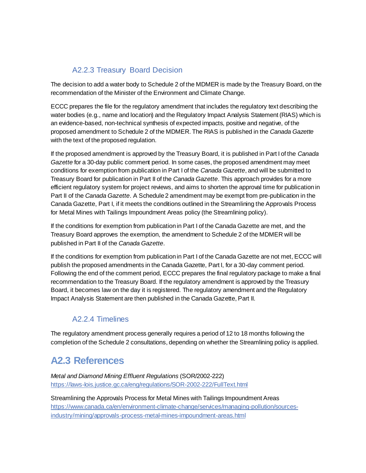#### A2.2.3 Treasury Board Decision

The decision to add a water body to Schedule 2 of the MDMER is made by the Treasury Board, on the recommendation of the Minister of the Environment and Climate Change.

ECCC prepares the file for the regulatory amendment that includes the regulatory text describing the water bodies (e.g., name and location) and the Regulatory Impact Analysis Statement (RIAS) which is an evidence-based, non-technical synthesis of expected impacts, positive and negative, of the proposed amendment to Schedule 2 of the MDMER. The RIAS is published in the *Canada Gazette* with the text of the proposed regulation.

If the proposed amendment is approved by the Treasury Board, it is published in Part I of the *Canada Gazette* for a 30-day public comment period. In some cases, the proposed amendment may meet conditions for exemption from publication in Part I of the *Canada Gazette*, and will be submitted to Treasury Board for publication in Part II of the *Canada Gazette*. This approach provides for a more efficient regulatory system for project reviews, and aims to shorten the approval time for publication in Part II of the *Canada Gazette*. A Schedule 2 amendment may be exempt from pre-publication in the Canada Gazette, Part I, if it meets the conditions outlined in the Streamlining the Approvals Process for Metal Mines with Tailings Impoundment Areas policy (the Streamlining policy).

If the conditions for exemption from publication in Part I of the Canada Gazette are met, and the Treasury Board approves the exemption, the amendment to Schedule 2 of the MDMER will be published in Part II of the *Canada Gazette*.

If the conditions for exemption from publication in Part I of the Canada Gazette are not met, ECCC will publish the proposed amendments in the Canada Gazette, Part I, for a 30-day comment period. Following the end of the comment period, ECCC prepares the final regulatory package to make a final recommendation to the Treasury Board. If the regulatory amendment is approved by the Treasury Board, it becomes law on the day it is registered. The regulatory amendment and the Regulatory Impact Analysis Statement are then published in the Canada Gazette, Part II.

#### A2.2.4 Timelines

The regulatory amendment process generally requires a period of 12 to 18 months following the completion of the Schedule 2 consultations, depending on whether the Streamlining policy is applied.

# **A2.3 References**

*Metal and Diamond Mining Effluent Regulations* (SOR/2002-222) <https://laws-lois.justice.gc.ca/eng/regulations/SOR-2002-222/FullText.html>

Streamlining the Approvals Process for Metal Mines with Tailings Impoundment Areas [https://www.canada.ca/en/environment-climate-change/services/managing-pollution/sources](https://www.canada.ca/en/environment-climate-change/services/managing-pollution/sources-industry/mining/approvals-process-metal-mines-impoundment-areas.html)[industry/mining/approvals-process-metal-mines-impoundment-areas.html](https://www.canada.ca/en/environment-climate-change/services/managing-pollution/sources-industry/mining/approvals-process-metal-mines-impoundment-areas.html)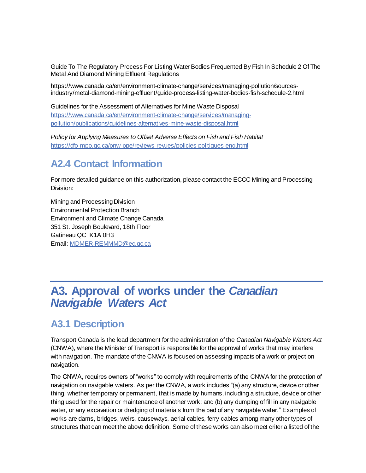Guide To The Regulatory Process For Listing Water Bodies Frequented By Fish In Schedule 2 Of The Metal And Diamond Mining Effluent Regulations

https://www.canada.ca/en/environment-climate-change/services/managing-pollution/sourcesindustry/metal-diamond-mining-effluent/guide-process-listing-water-bodies-fish-schedule-2.html

Guidelines for the Assessment of Alternatives for Mine Waste Disposal [https://www.canada.ca/en/environment-climate-change/services/managing](https://www.canada.ca/en/environment-climate-change/services/managing-pollution/publications/guidelines-alternatives-mine-waste-disposal.html)[pollution/publications/guidelines-alternatives-mine-waste-disposal.html](https://www.canada.ca/en/environment-climate-change/services/managing-pollution/publications/guidelines-alternatives-mine-waste-disposal.html)

*Policy for Applying Measures to Offset Adverse Effects on Fish and Fish Habitat* <https://dfo-mpo.gc.ca/pnw-ppe/reviews-revues/policies-politiques-eng.html>

### **A2.4 Contact Information**

For more detailed guidance on this authorization, please contact the ECCC Mining and Processing Division:

Mining and Processing Division Environmental Protection Branch Environment and Climate Change Canada 351 St. Joseph Boulevard, 18th Floor Gatineau QC K1A 0H3 Email[: MDMER-REMMMD@ec.gc.ca](mailto:MDMER-REMMMD@ec.gc.ca)

# <span id="page-12-0"></span>**A3. Approval of works under the** *Canadian Navigable Waters Act*

### **A3.1 Description**

Transport Canada is the lead department for the administration of the *Canadian Navigable Waters Act* (CNWA), where the Minister of Transport is responsible for the approval of works that may interfere with navigation. The mandate of the CNWA is focused on assessing impacts of a work or project on navigation.

The CNWA, requires owners of "works" to comply with requirements of the CNWA for the protection of navigation on navigable waters. As per the CNWA, a work includes "(a) any structure, device or other thing, whether temporary or permanent, that is made by humans, including a structure, device or other thing used for the repair or maintenance of another work; and (b) any dumping of fill in any navigable water, or any excavation or dredging of materials from the bed of any navigable water." Examples of works are dams, bridges, weirs, causeways, aerial cables, ferry cables among many other types of structures that can meet the above definition. Some of these works can also meet criteria listed of the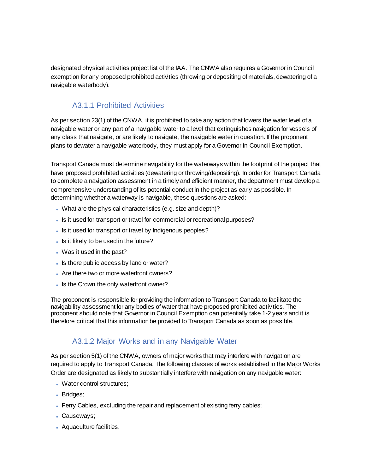designated physical activities project list of the IAA. The CNWA also requires a Governor in Council exemption for any proposed prohibited activities (throwing or depositing of materials, dewatering of a navigable waterbody).

#### A3.1.1 Prohibited Activities

As per section 23(1) of the CNWA, it is prohibited to take any action that lowers the water level of a navigable water or any part of a navigable water to a level that extinguishes navigation for vessels of any class that navigate, or are likely to navigate, the navigable water in question. If the proponent plans to dewater a navigable waterbody, they must apply for a Governor In Council Exemption.

Transport Canada must determine navigability for the waterways within the footprint of the project that have proposed prohibited activities (dewatering or throwing/depositing). In order for Transport Canada to complete a navigation assessment in a timely and efficient manner, the department must develop a comprehensive understanding of its potential conduct in the project as early as possible. In determining whether a waterway is navigable, these questions are asked:

- What are the physical characteristics (e.g. size and depth)?
- Is it used for transport or travel for commercial or recreational purposes?
- . Is it used for transport or travel by Indigenous peoples?
- Is it likely to be used in the future?
- Was it used in the past?
- Is there public access by land or water?
- Are there two or more waterfront owners?
- Is the Crown the only waterfront owner?

The proponent is responsible for providing the information to Transport Canada to facilitate the navigability assessment for any bodies of water that have proposed prohibited activities. The proponent should note that Governor in Council Exemption can potentially take 1-2 years and it is therefore critical that this information be provided to Transport Canada as soon as possible.

#### A3.1.2 Major Works and in any Navigable Water

As per section 5(1) of the CNWA, owners of major works that may interfere with navigation are required to apply to Transport Canada. The following classes of works established in the Major Works Order are designated as likely to substantially interfere with navigation on any navigable water:

- Water control structures;
- Bridges;
- Ferry Cables, excluding the repair and replacement of existing ferry cables;
- Causeways;
- Aquaculture facilities.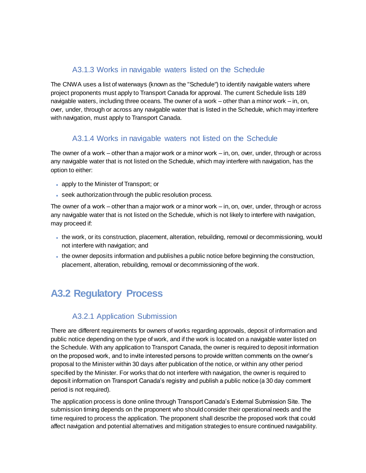#### A3.1.3 Works in navigable waters listed on the Schedule

The CNWA uses a list of waterways (known as the "Schedule") to identify navigable waters where project proponents must apply to Transport Canada for approval. The current Schedule lists 189 navigable waters, including three oceans. The owner of a work – other than a minor work – in, on, over, under, through or across any navigable water that is listed in the Schedule, which may interfere with navigation, must apply to Transport Canada.

#### A3.1.4 Works in navigable waters not listed on the Schedule

The owner of a work – other than a major work or a minor work – in, on, over, under, through or across any navigable water that is not listed on the Schedule, which may interfere with navigation, has the option to either:

- apply to the Minister of Transport; or
- seek authorization through the public resolution process.

The owner of a work – other than a major work or a minor work – in, on, over, under, through or across any navigable water that is not listed on the Schedule, which is not likely to interfere with navigation, may proceed if:

- the work, or its construction, placement, alteration, rebuilding, removal or decommissioning, would not interfere with navigation; and
- the owner deposits information and publishes a public notice before beginning the construction, placement, alteration, rebuilding, removal or decommissioning of the work.

# **A3.2 Regulatory Process**

#### A3.2.1 Application Submission

There are different requirements for owners of works regarding approvals, deposit of information and public notice depending on the type of work, and if the work is located on a navigable water listed on the Schedule. With any application to Transport Canada, the owner is required to deposit information on the proposed work, and to invite interested persons to provide written comments on the owner's proposal to the Minister within 30 days after publication of the notice, or within any other period specified by the Minister. For works that do not interfere with navigation, the owner is required to deposit information on Transport Canada's registry and publish a public notice (a 30 day comment period is not required).

The application process is done online through Transport Canada's External Submission Site. The submission timing depends on the proponent who should consider their operational needs and the time required to process the application. The proponent shall describe the proposed work that could affect navigation and potential alternatives and mitigation strategies to ensure continued navigability.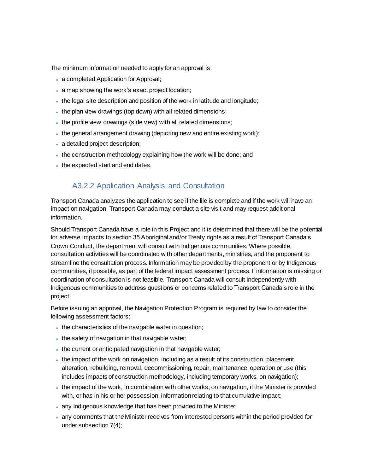The minimum information needed to apply for an approval is:

- a completed Application for Approval;
- a map showing the work's exact project location;
- the legal site description and position of the work in latitude and longitude;
- the plan view drawings (top down) with all related dimensions;
- the profile view drawings (side view) with all related dimensions;
- the general arrangement drawing (depicting new and entire existing work);
- a detailed project description;
- the construction methodology explaining how the work will be done; and
- the expected start and end dates.

#### A3.2.2 Application Analysis and Consultation

Transport Canada analyzes the application to see if the file is complete and if the work will have an impact on navigation. Transport Canada may conduct a site visit and may request additional information.

Should Transport Canada have a role in this Project and it is determined that there will be the potential for adverse impacts to section 35 Aboriginal and/or Treaty rights as a result of Transport Canada's Crown Conduct, the department will consult with Indigenous communities. Where possible, consultation activities will be coordinated with other departments, ministries, and the proponent to streamline the consultation process. Information may be provided by the proponent or by Indigenous communities, if possible, as part of the federal impact assessment process. If information is missing or coordination of consultation is not feasible, Transport Canada will consult independently with Indigenous communities to address questions or concerns related to Transport Canada's role in the project.

Before issuing an approval, the Navigation Protection Program is required by law to consider the following assessment factors:

- . the characteristics of the navigable water in question;
- . the safety of navigation in that navigable water;
- the current or anticipated navigation in that navigable water;
- the impact of the work on navigation, including as a result of its construction, placement, alteration, rebuilding, removal, decommissioning, repair, maintenance, operation or use (this includes impacts of construction methodology, including temporary works, on navigation);
- the impact of the work, in combination with other works, on navigation, if the Minister is provided with, or has in his or her possession, information relating to that cumulative impact;
- any Indigenous knowledge that has been provided to the Minister;
- any comments that the Minister receives from interested persons within the period provided for under subsection 7(4);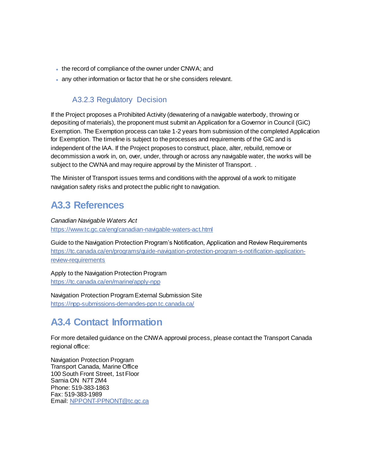- the record of compliance of the owner under CNWA; and
- any other information or factor that he or she considers relevant.

#### A3.2.3 Regulatory Decision

If the Project proposes a Prohibited Activity (dewatering of a navigable waterbody, throwing or depositing of materials), the proponent must submit an Application for a Governor in Council (GiC) Exemption. The Exemption process can take 1-2 years from submission of the completed Application for Exemption. The timeline is subject to the processes and requirements of the GIC and is independent of the IAA. If the Project proposes to construct, place, alter, rebuild, remove or decommission a work in, on, over, under, through or across any navigable water, the works will be subject to the CWNA and may require approval by the Minister of Transport. .

The Minister of Transport issues terms and conditions with the approval of a work to mitigate navigation safety risks and protect the public right to navigation.

# **A3.3 References**

*Canadian Navigable Waters Act*

<https://www.tc.gc.ca/eng/canadian-navigable-waters-act.html>

Guide to the Navigation Protection Program's Notification, Application and Review Requirements [https://tc.canada.ca/en/programs/guide-navigation-protection-program-s-notification-application](https://tc.canada.ca/en/programs/guide-navigation-protection-program-s-notification-application-review-requirements)[review-requirements](https://tc.canada.ca/en/programs/guide-navigation-protection-program-s-notification-application-review-requirements)

Apply to the Navigation Protection Program <https://tc.canada.ca/en/marine/apply-npp>

Navigation Protection Program External Submission Site [https://npp-submissions-demandes-ppn.tc.canada.ca/](https://npp-submissions-demandes-ppn.tc.canada.ca/auth/login-connexion?ret=/&GoCTemplateCulture=en-CA)

# **A3.4 Contact Information**

For more detailed guidance on the CNWA approval process, please contact the Transport Canada regional office:

Navigation Protection Program Transport Canada, Marine Office 100 South Front Street, 1st Floor Sarnia ON N7T 2M4 Phone: 519-383-1863 Fax: 519-383-1989 Email[: NPPONT-PPNONT@tc.gc.ca](mailto:NPPONT-PPNONT@tc.gc.ca)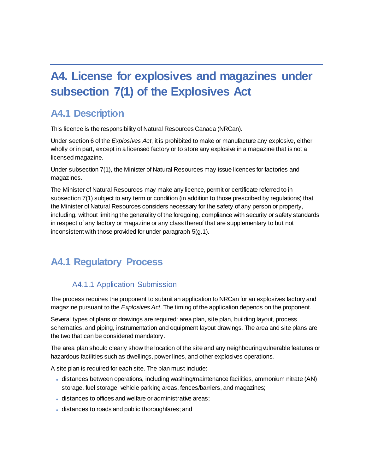# <span id="page-17-0"></span>**A4. License for explosives and magazines under subsection 7(1) of the Explosives Act**

### **A4.1 Description**

This licence is the responsibility of Natural Resources Canada (NRCan).

Under section 6 of the *Explosives Act*, it is prohibited to make or manufacture any explosive, either wholly or in part, except in a licensed factory or to store any explosive in a magazine that is not a licensed magazine.

Under subsection 7(1), the Minister of Natural Resources may issue licences for factories and magazines.

The Minister of Natural Resources may make any licence, permit or certificate referred to in subsection 7(1) subject to any term or condition (in addition to those prescribed by regulations) that the Minister of Natural Resources considers necessary for the safety of any person or property, including, without limiting the generality of the foregoing, compliance with security or safety standards in respect of any factory or magazine or any class thereof that are supplementary to but not inconsistent with those provided for under paragraph 5(g.1).

# **A4.1 Regulatory Process**

#### A4.1.1 Application Submission

The process requires the proponent to submit an application to NRCan for an explosives factory and magazine pursuant to the *Explosives Act*. The timing of the application depends on the proponent.

Several types of plans or drawings are required: area plan, site plan, building layout, process schematics, and piping, instrumentation and equipment layout drawings. The area and site plans are the two that can be considered mandatory.

The area plan should clearly show the location of the site and any neighbouring vulnerable features or hazardous facilities such as dwellings, power lines, and other explosives operations.

A site plan is required for each site. The plan must include:

- distances between operations, including washing/maintenance facilities, ammonium nitrate (AN) storage, fuel storage, vehicle parking areas, fences/barriers, and magazines;
- distances to offices and welfare or administrative areas;
- distances to roads and public thoroughfares; and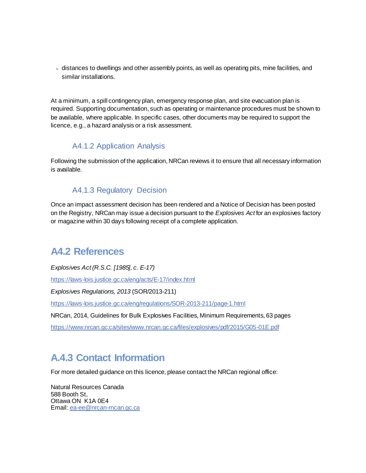distances to dwellings and other assembly points, as well as operating pits, mine facilities, and similar installations.

At a minimum, a spill contingency plan, emergency response plan, and site evacuation plan is required. Supporting documentation, such as operating or maintenance procedures must be shown to be available, where applicable. In specific cases, other documents may be required to support the licence, e.g., a hazard analysis or a risk assessment.

#### A4.1.2 Application Analysis

Following the submission of the application, NRCan reviews it to ensure that all necessary information is available.

#### A4.1.3 Regulatory Decision

Once an impact assessment decision has been rendered and a Notice of Decision has been posted on the Registry, NRCan may issue a decision pursuant to the *Explosives Act* for an explosives factory or magazine within 30 days following receipt of a complete application.

### **A4.2 References**

*Explosives Act (R.S.C. [1985], c. E-17)*

https://laws-lois.justice.gc.ca/eng/acts/E-17/index.html

*Explosives Regulations, 2013* (SOR/2013-211)

<https://laws-lois.justice.gc.ca/eng/regulations/SOR-2013-211/page-1.html>

NRCan, 2014, Guidelines for Bulk Explosives Facilities, Minimum Requirements, 63 pages

<https://www.nrcan.gc.ca/sites/www.nrcan.gc.ca/files/explosives/pdf/2015/G05-01E.pdf>

# **A.4.3 Contact Information**

For more detailed guidance on this licence, please contact the NRCan regional office:

Natural Resources Canada 588 Booth St, Ottawa ON K1A 0E4 Email[: ea-ee@nrcan-rncan.gc.ca](mailto:ea-ee@nrcan-rncan.gc.ca)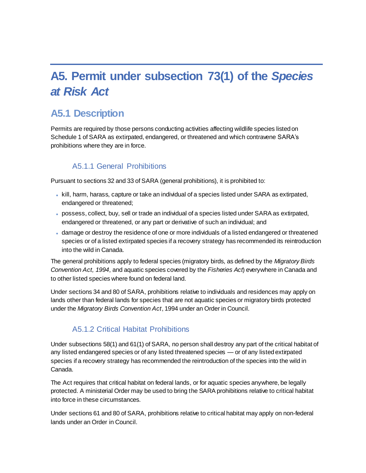# <span id="page-19-0"></span>**A5. Permit under subsection 73(1) of the** *Species at Risk Act*

# **A5.1 Description**

Permits are required by those persons conducting activities affecting wildlife species listed on Schedule 1 of SARA as extirpated, endangered, or threatened and which contravene SARA's prohibitions where they are in force.

#### A5.1.1 General Prohibitions

Pursuant to sections 32 and 33 of SARA (general prohibitions), it is prohibited to:

- kill, harm, harass, capture or take an individual of a species listed under SARA as extirpated, endangered or threatened;
- possess, collect, buy, sell or trade an individual of a species listed under SARA as extirpated, endangered or threatened, or any part or derivative of such an individual; and
- damage or destroy the residence of one or more individuals of a listed endangered or threatened species or of a listed extirpated species if a recovery strategy has recommended its reintroduction into the wild in Canada.

The general prohibitions apply to federal species (migratory birds, as defined by the *Migratory Birds Convention Act, 1994*, and aquatic species covered by the *Fisheries Act*) everywhere in Canada and to other listed species where found on federal land.

Under sections 34 and 80 of SARA, prohibitions relative to individuals and residences may apply on lands other than federal lands for species that are not aquatic species or migratory birds protected under the *Migratory Birds Convention Act*, 1994 under an Order in Council.

#### A5.1.2 Critical Habitat Prohibitions

Under subsections 58(1) and 61(1) of SARA, no person shall destroy any part of the critical habitat of any listed endangered species or of any listed threatened species — or of any listed extirpated species if a recovery strategy has recommended the reintroduction of the species into the wild in Canada.

The Act requires that critical habitat on federal lands, or for aquatic species anywhere, be legally protected. A ministerial Order may be used to bring the SARA prohibitions relative to critical habitat into force in these circumstances.

Under sections 61 and 80 of SARA, prohibitions relative to critical habitat may apply on non-federal lands under an Order in Council.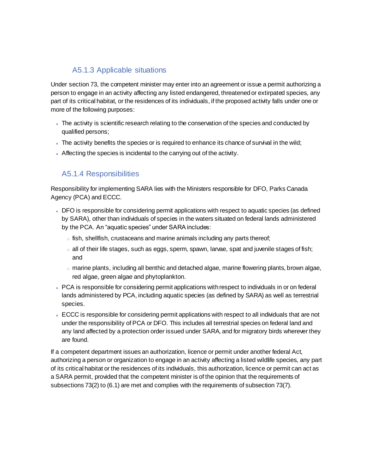#### A5.1.3 Applicable situations

Under section 73, the competent minister may enter into an agreement or issue a permit authorizing a person to engage in an activity affecting any listed endangered, threatened or extirpated species, any part of its critical habitat, or the residences of its individuals, if the proposed activity falls under one or more of the following purposes:

- The activity is scientific research relating to the conservation of the species and conducted by qualified persons;
- . The activity benefits the species or is required to enhance its chance of survival in the wild;
- Affecting the species is incidental to the carrying out of the activity.

#### A5.1.4 Responsibilities

Responsibility for implementing SARA lies with the Ministers responsible for DFO, Parks Canada Agency (PCA) and ECCC.

- DFO is responsible for considering permit applications with respect to aquatic species (as defined by SARA), other than individuals of species in the waters situated on federal lands administered by the PCA. An "aquatic species" under SARA includes:
	- fish, shellfish, crustaceans and marine animals including any parts thereof;
	- $\circ$  all of their life stages, such as eggs, sperm, spawn, larvae, spat and juvenile stages of fish; and
	- $\circ$  marine plants, including all benthic and detached algae, marine flowering plants, brown algae, red algae, green algae and phytoplankton.
- PCA is responsible for considering permit applications with respect to individuals in or on federal lands administered by PCA, including aquatic species (as defined by SARA) as well as terrestrial species.
- ECCC is responsible for considering permit applications with respect to all individuals that are not under the responsibility of PCA or DFO. This includes all terrestrial species on federal land and any land affected by a protection order issued under SARA, and for migratory birds wherever they are found.

If a competent department issues an authorization, licence or permit under another federal Act, authorizing a person or organization to engage in an activity affecting a listed wildlife species, any part of its critical habitat or the residences of its individuals, this authorization, licence or permit can act as a SARA permit, provided that the competent minister is of the opinion that the requirements of subsections 73(2) to (6.1) are met and complies with the requirements of subsection 73(7).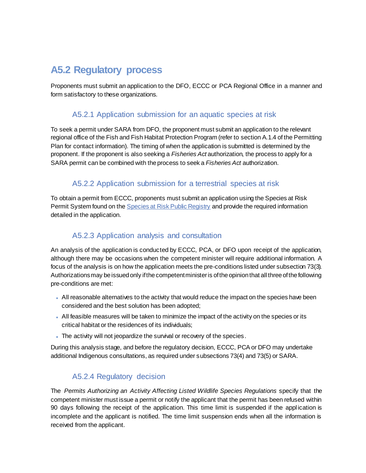# **A5.2 Regulatory process**

Proponents must submit an application to the DFO, ECCC or PCA Regional Office in a manner and form satisfactory to these organizations.

#### A5.2.1 Application submission for an aquatic species at risk

To seek a permit under SARA from DFO, the proponent must submit an application to the relevant regional office of the Fish and Fish Habitat Protection Program (refer to section A.1.4 of the Permitting Plan for contact information). The timing of when the application is submitted is determined by the proponent. If the proponent is also seeking a *Fisheries Act* authorization, the process to apply for a SARA permit can be combined with the process to seek a *Fisheries Act* authorization.

#### A5.2.2 Application submission for a terrestrial species at risk

To obtain a permit from ECCC, proponents must submit an application using the Species at Risk Permit System found on th[e Species at Risk Public Registry](https://wildlife-species.canada.ca/SPLEP-SARAPS/index.cfm?fuseaction=home.main&lang=Fr) and provide the required information detailed in the application.

#### A5.2.3 Application analysis and consultation

An analysis of the application is conducted by ECCC, PCA, or DFO upon receipt of the application, although there may be occasions when the competent minister will require additional information. A focus of the analysis is on how the application meets the pre-conditions listed under subsection 73(3). Authorizations may be issued only if the competent minister is of the opinion that all three of the following pre-conditions are met:

- All reasonable alternatives to the activity that would reduce the impact on the species have been considered and the best solution has been adopted;
- All feasible measures will be taken to minimize the impact of the activity on the species or its critical habitat or the residences of its individuals;
- The activity will not jeopardize the survival or recovery of the species.

During this analysis stage, and before the regulatory decision, ECCC, PCA or DFO may undertake additional Indigenous consultations, as required under subsections 73(4) and 73(5) or SARA.

#### A5.2.4 Regulatory decision

The *Permits Authorizing an Activity Affecting Listed Wildlife Species Regulations* specify that the competent minister must issue a permit or notify the applicant that the permit has been refused within 90 days following the receipt of the application. This time limit is suspended if the application is incomplete and the applicant is notified. The time limit suspension ends when all the information is received from the applicant.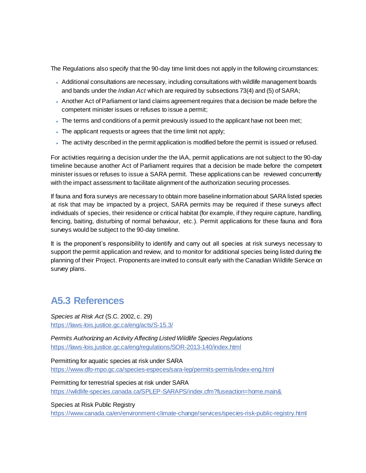The Regulations also specify that the 90-day time limit does not apply in the following circumstances:

- Additional consultations are necessary, including consultations with wildlife management boards and bands under the *Indian Act* which are required by subsections 73(4) and (5) of SARA;
- Another Act of Parliament or land claims agreement requires that a decision be made before the competent minister issues or refuses to issue a permit;
- The terms and conditions of a permit previously issued to the applicant have not been met;
- The applicant requests or agrees that the time limit not apply;
- The activity described in the permit application is modified before the permit is issued or refused.

For activities requiring a decision under the the IAA, permit applications are not subject to the 90-day timeline because another Act of Parliament requires that a decision be made before the competent minister issues or refuses to issue a SARA permit. These applications can be reviewed concurrently with the impact assessment to facilitate alignment of the authorization securing processes.

If fauna and flora surveys are necessary to obtain more baseline information about SARA listed species at risk that may be impacted by a project, SARA permits may be required if these surveys affect individuals of species, their residence or critical habitat (for example, if they require capture, handling, fencing, baiting, disturbing of normal behaviour, etc.). Permit applications for these fauna and flora surveys would be subject to the 90-day timeline.

It is the proponent's responsibility to identify and carry out all species at risk surveys necessary to support the permit application and review, and to monitor for additional species being listed during the planning of their Project. Proponents are invited to consult early with the Canadian Wildlife Service on survey plans.

### **A5.3 References**

*Species at Risk Act* (S.C. 2002, c. 29) <https://laws-lois.justice.gc.ca/eng/acts/S-15.3/>

*Permits Authorizing an Activity Affecting Listed Wildlife Species Regulations* <https://laws-lois.justice.gc.ca/eng/regulations/SOR-2013-140/index.html>

Permitting for aquatic species at risk under SARA <https://www.dfo-mpo.gc.ca/species-especes/sara-lep/permits-permis/index-eng.html>

Permitting for terrestrial species at risk under SARA <https://wildlife-species.canada.ca/SPLEP-SARAPS/index.cfm?fuseaction=home.main&>

Species at Risk Public Registry <https://www.canada.ca/en/environment-climate-change/services/species-risk-public-registry.html>